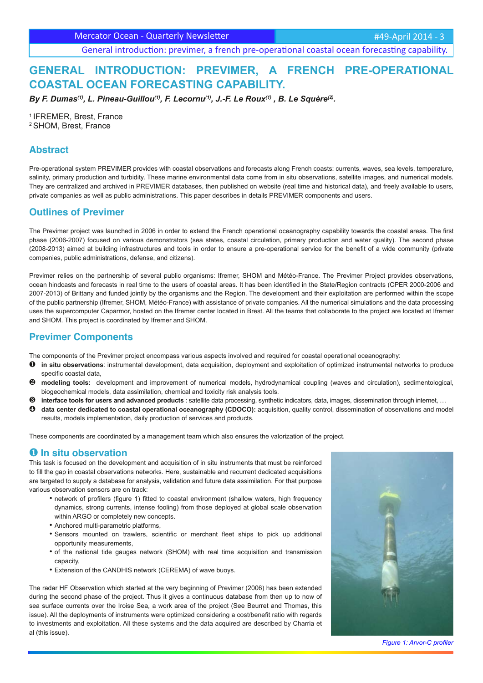Mercator Ocean - Quarterly Newsletter **Access 1988** Mercator 2014 - 3

General introduction: previmer, a french pre-operational coastal ocean forecasting capability.

# **GENERAL INTRODUCTION: PREVIMER, A FRENCH PRE-OPERATIONAL COASTAL OCEAN FORECASTING CAPABILITY.**

*By F. Dumas(1), L. Pineau-Guillou(1), F. Lecornu(1), J.-F. Le Roux(1) , B. Le Squère(2).*

<sup>1</sup>IFREMER, Brest, France <sup>2</sup>SHOM, Brest, France

### **Abstract**

Pre-operational system PREVIMER provides with coastal observations and forecasts along French coasts: currents, waves, sea levels, temperature, salinity, primary production and turbidity. These marine environmental data come from in situ observations, satellite images, and numerical models. They are centralized and archived in PREVIMER databases, then published on website (real time and historical data), and freely available to users, private companies as well as public administrations. This paper describes in details PREVIMER components and users.

## **Outlines of Previmer**

The Previmer project was launched in 2006 in order to extend the French operational oceanography capability towards the coastal areas. The first phase (2006-2007) focused on various demonstrators (sea states, coastal circulation, primary production and water quality). The second phase (2008-2013) aimed at building infrastructures and tools in order to ensure a pre-operational service for the benefit of a wide community (private companies, public administrations, defense, and citizens).

Previmer relies on the partnership of several public organisms: Ifremer, SHOM and Météo-France. The Previmer Project provides observations, ocean hindcasts and forecasts in real time to the users of coastal areas. It has been identified in the State/Region contracts (CPER 2000-2006 and 2007-2013) of Brittany and funded jointly by the organisms and the Region. The development and their exploitation are performed within the scope of the public partnership (Ifremer, SHOM, Météo-France) with assistance of private companies. All the numerical simulations and the data processing uses the supercomputer Caparmor, hosted on the Ifremer center located in Brest. All the teams that collaborate to the project are located at Ifremer and SHOM. This project is coordinated by Ifremer and SHOM.

## **Previmer Components**

The components of the Previmer project encompass various aspects involved and required for coastal operational oceanography:

- ❶ **in situ observations**: instrumental development, data acquisition, deployment and exploitation of optimized instrumental networks to produce specific coastal data,
- ❷ **modeling tools:** development and improvement of numerical models, hydrodynamical coupling (waves and circulation), sedimentological, biogeochemical models, data assimilation, chemical and toxicity risk analysis tools.
- ❸ **interface tools for users and advanced products** : satellite data processing, synthetic indicators, data, images, dissemination through internet, …
- ❹ **data center dedicated to coastal operational oceanography (CDOCO):** acquisition, quality control, dissemination of observations and model results, models implementation, daily production of services and products.

These components are coordinated by a management team which also ensures the valorization of the project.

### ❶ **In situ observation**

This task is focused on the development and acquisition of in situ instruments that must be reinforced to fill the gap in coastal observations networks. Here, sustainable and recurrent dedicated acquisitions are targeted to supply a database for analysis, validation and future data assimilation. For that purpose various observation sensors are on track:

- network of profilers (figure 1) fitted to coastal environment (shallow waters, high frequency dynamics, strong currents, intense fooling) from those deployed at global scale observation within ARGO or completely new concepts.
- Anchored multi-parametric platforms.
- Sensors mounted on trawlers, scientific or merchant fleet ships to pick up additional opportunity measurements,
- of the national tide gauges network (SHOM) with real time acquisition and transmission capacity,
- Extension of the CANDHIS network (CEREMA) of wave buoys.

The radar HF Observation which started at the very beginning of Previmer (2006) has been extended during the second phase of the project. Thus it gives a continuous database from then up to now of sea surface currents over the Iroise Sea, a work area of the project (See Beurret and Thomas, this issue). All the deployments of instruments were optimized considering a cost/benefit ratio with regards to investments and exploitation. All these systems and the data acquired are described by Charria et al (this issue).



*Figure 1: Arvor-C profiler*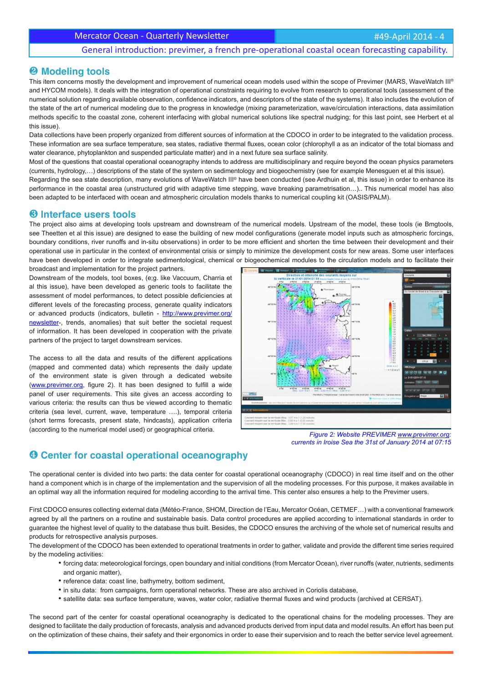### General introduction: previmer, a french pre-operational coastal ocean forecasting capability.

### ❷ **Modeling tools**

This item concerns mostly the development and improvement of numerical ocean models used within the scope of Previmer (MARS, WaveWatch III® and HYCOM models). It deals with the integration of operational constraints requiring to evolve from research to operational tools (assessment of the numerical solution regarding available observation, confidence indicators, and descriptors of the state of the systems). It also includes the evolution of the state of the art of numerical modeling due to the progress in knowledge (mixing parameterization, wave/circulation interactions, data assimilation methods specific to the coastal zone, coherent interfacing with global numerical solutions like spectral nudging; for this last point, see Herbert et al this issue).

Data collections have been properly organized from different sources of information at the CDOCO in order to be integrated to the validation process. These information are sea surface temperature, sea states, radiative thermal fluxes, ocean color (chlorophyll a as an indicator of the total biomass and water clearance, phytoplankton and suspended particulate matter) and in a next future sea surface salinity.

Most of the questions that coastal operational oceanography intends to address are multidisciplinary and require beyond the ocean physics parameters (currents, hydrology,…) descriptions of the state of the system on sedimentology and biogeochemistry (see for example Menesguen et al this issue). Regarding the sea state description, many evolutions of WaveWatch III® have been conducted (see Ardhuin et al, this issue) in order to enhance its performance in the coastal area (unstructured grid with adaptive time stepping, wave breaking parametrisation…).. This numerical model has also been adapted to be interfaced with ocean and atmospheric circulation models thanks to numerical coupling kit (OASIS/PALM).

#### ❸ **Interface users tools**

The project also aims at developing tools upstream and downstream of the numerical models. Upstream of the model, these tools (ie Bmgtools, see Theetten et al this issue) are designed to ease the building of new model configurations (generate model inputs such as atmospheric forcings, boundary conditions, river runoffs and in-situ observations) in order to be more efficient and shorten the time between their development and their operational use in particular in the context of environmental crisis or simply to minimize the development costs for new areas. Some user interfaces have been developed in order to integrate sedimentological, chemical or biogeochemical modules to the circulation models and to facilitate their broadcast and implementation for the project partners.

Downstream of the models, tool boxes, (e;g. like Vaccuum, Charria et al this issue), have been developed as generic tools to facilitate the assessment of model performances, to detect possible deficiencies at different levels of the forecasting process, generate quality indicators or advanced products (indicators, bulletin - http://www.previmer.org/ newsletter-, trends, anomalies) that suit better the societal request of information. It has been developed in cooperation with the private partners of the project to target downstream services.

The access to all the data and results of the different applications (mapped and commented data) which represents the daily update of the environment state is given through a dedicated website (www.previmer.org, figure 2). It has been designed to fulfill a wide panel of user requirements. This site gives an access according to various criteria: the results can thus be viewed according to thematic criteria (sea level, current, wave, temperature ….), temporal criteria (short terms forecasts, present state, hindcasts), application criteria (according to the numerical model used) or geographical criteria.



*Figure 2: Website PREVIMER www.previmer.org: currents in Iroise Sea the 31st of January 2014 at 07:15*

# ❹ **Center for coastal operational oceanography**

The operational center is divided into two parts: the data center for coastal operational oceanography (CDOCO) in real time itself and on the other hand a component which is in charge of the implementation and the supervision of all the modeling processes. For this purpose, it makes available in an optimal way all the information required for modeling according to the arrival time. This center also ensures a help to the Previmer users.

First CDOCO ensures collecting external data (Météo-France, SHOM, Direction de l'Eau, Mercator Océan, CETMEF…) with a conventional framework agreed by all the partners on a routine and sustainable basis. Data control procedures are applied according to international standards in order to guarantee the highest level of quality to the database thus built. Besides, the CDOCO ensures the archiving of the whole set of numerical results and products for retrospective analysis purposes.

The development of the CDOCO has been extended to operational treatments in order to gather, validate and provide the different time series required by the modeling activities:

- forcing data: meteorological forcings, open boundary and initial conditions (from Mercator Ocean), river runoffs (water, nutrients, sediments and organic matter),
- reference data: coast line, bathymetry, bottom sediment,
- in situ data: from campaigns, form operational networks. These are also archived in Coriolis database,
- satellite data: sea surface temperature, waves, water color, radiative thermal fluxes and wind products (archived at CERSAT).

The second part of the center for coastal operational oceanography is dedicated to the operational chains for the modeling processes. They are designed to facilitate the daily production of forecasts, analysis and advanced products derived from input data and model results. An effort has been put on the optimization of these chains, their safety and their ergonomics in order to ease their supervision and to reach the better service level agreement.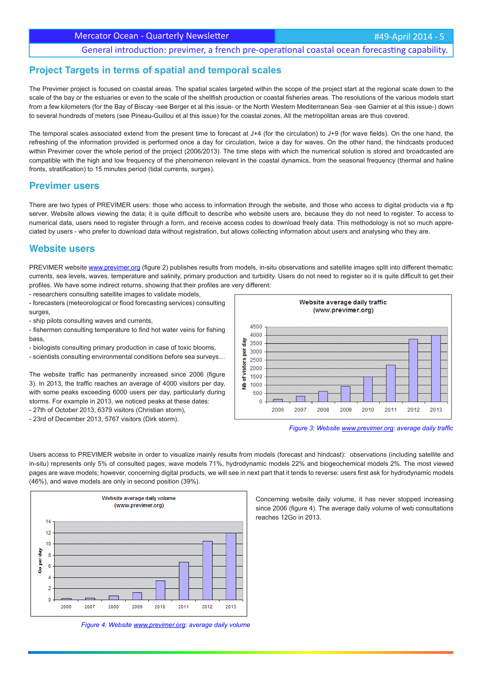Mercator Ocean - Quarterly Newsletter

### General introduction: previmer, a french pre-operational coastal ocean forecasting capability.

### **Project Targets in terms of spatial and temporal scales**

The Previmer project is focused on coastal areas. The spatial scales targeted within the scope of the project start at the regional scale down to the scale of the bay or the estuaries or even to the scale of the shellfish production or coastal fisheries areas. The resolutions of the various models start from a few kilometers (for the Bay of Biscay -see Berger et al this issue- or the North Western Mediterranean Sea -see Garnier et al this issue-) down to several hundreds of meters (see Pineau-Guillou et al this issue) for the coastal zones. All the metropolitan areas are thus covered.

The temporal scales associated extend from the present time to forecast at  $J+4$  (for the circulation) to  $J+9$  (for wave fields). On the one hand, the refreshing of the information provided is performed once a day for circulation, twice a day for waves. On the other hand, the hindcasts produced within Previmer cover the whole period of the project (2006/2013). The time steps with which the numerical solution is stored and broadcasted are compatible with the high and low frequency of the phenomenon relevant in the coastal dynamics, from the seasonal frequency (thermal and haline fronts, stratification) to 15 minutes period (tidal currents, surges).

#### **Previmer users**

There are two types of PREVIMER users: those who access to information through the website, and those who access to digital products via a ftp server. Website allows viewing the data; it is quite difficult to describe who website users are, because they do not need to register. To access to numerical data, users need to register through a form, and receive access codes to download freely data. This methodology is not so much appreciated by users - who prefer to download data without registration, but allows collecting information about users and analysing who they are.

#### **Website users**

PREVIMER website www.previmer.org (figure 2) publishes results from models, in-situ observations and satellite images split into different thematic: currents, sea levels, waves, temperature and salinity, primary production and turbidity. Users do not need to register so it is quite difficult to get their profiles. We have some indirect returns, showing that their profiles are very different:

- researchers consulting satellite images to validate models,
- forecasters (meteorological or flood forecasting services) consulting surges,
- ship pilots consulting waves and currents,
- fishermen consulting temperature to find hot water veins for fishing bass,
- biologists consulting primary production in case of toxic blooms,
- scientists consulting environmental conditions before sea surveys…

The website traffic has permanently increased since 2006 (figure 3). In 2013, the traffic reaches an average of 4000 visitors per day, with some peaks exceeding 6000 users per day, particularly during storms. For example in 2013, we noticed peaks at these dates: - 27th of October 2013, 6379 visitors (Christian storm),

- 23rd of December 2013, 5767 visitors (Dirk storm).





Users access to PREVIMER website in order to visualize mainly results from models (forecast and hindcast): observations (including satellite and in-situ) represents only 5% of consulted pages, wave models 71%, hydrodynamic models 22% and biogeochemical models 2%. The most viewed pages are wave models; however, concerning digital products, we will see in next part that it tends to reverse: users first ask for hydrodynamic models (46%), and wave models are only in second position (39%).



*Figure 4: Website www.previmer.org: average daily volume*

Concerning website daily volume, it has never stopped increasing since 2006 (figure 4). The average daily volume of web consultations reaches 12Go in 2013.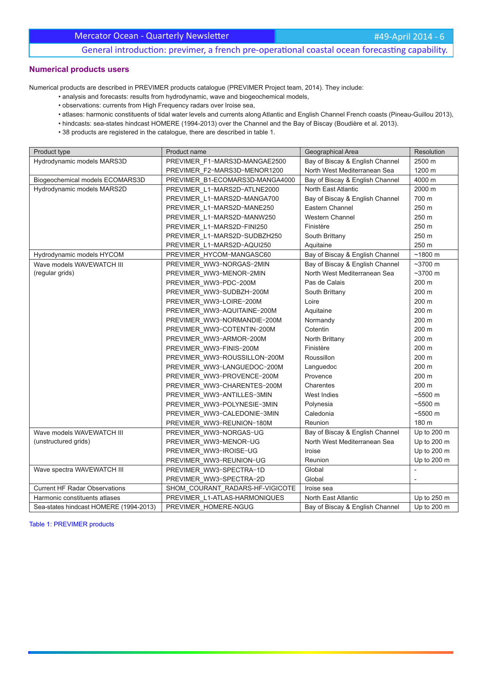## Mercator Ocean - Quarterly Newsletter

#49-April 2014 - 6

General introduction: previmer, a french pre-operational coastal ocean forecasting capability.

### **Numerical products users**

Numerical products are described in PREVIMER products catalogue (PREVIMER Project team, 2014). They include:

- analysis and forecasts: results from hydrodynamic, wave and biogeochemical models,
- observations: currents from High Frequency radars over Iroise sea,
- atlases: harmonic constituents of tidal water levels and currents along Atlantic and English Channel French coasts (Pineau-Guillou 2013),
- hindcasts: sea-states hindcast HOMERE (1994-2013) over the Channel and the Bay of Biscay (Boudière et al. 2013).
- 38 products are registered in the catalogue, there are described in table 1.

| Product type                           | Product name                    | Geographical Area               | Resolution        |
|----------------------------------------|---------------------------------|---------------------------------|-------------------|
| Hydrodynamic models MARS3D             | PREVIMER F1-MARS3D-MANGAE2500   | Bay of Biscay & English Channel | 2500 m            |
|                                        | PREVIMER F2-MARS3D-MENOR1200    | North West Mediterranean Sea    | 1200 m            |
| Biogeochemical models ECOMARS3D        | PREVIMER B1-ECOMARS3D-MANGA4000 | Bay of Biscay & English Channel | 4000 m            |
| Hydrodynamic models MARS2D             | PREVIMER_L1-MARS2D-ATLNE2000    | North East Atlantic             | 2000 m            |
|                                        | PREVIMER_L1-MARS2D-MANGA700     | Bay of Biscay & English Channel | 700 m             |
|                                        | PREVIMER L1-MARS2D-MANE250      | Eastern Channel                 | 250 m             |
|                                        | PREVIMER L1-MARS2D-MANW250      | <b>Western Channel</b>          | 250 m             |
|                                        | PREVIMER_L1-MARS2D-FINI250      | Finistère                       | 250 m             |
|                                        | PREVIMER L1-MARS2D-SUDBZH250    | South Brittany                  | 250 m             |
|                                        | PREVIMER L1-MARS2D-AQUI250      | Aquitaine                       | 250 m             |
| Hydrodynamic models HYCOM              | PREVIMER_HYCOM-MANGASC60        | Bay of Biscay & English Channel | ~1800~m           |
| Wave models WAVEWATCH III              | PREVIMER WW3-NORGAS-2MIN        | Bay of Biscay & English Channel | $~1$ ~3700 m      |
| (regular grids)                        | PREVIMER_WW3-MENOR-2MIN         | North West Mediterranean Sea    | $~100 \text{ m}$  |
|                                        | PREVIMER WW3-PDC-200M           | Pas de Calais                   | 200 m             |
|                                        | PREVIMER WW3-SUDBZH-200M        | South Brittany                  | 200 m             |
|                                        | PREVIMER_WW3-LOIRE-200M         | Loire                           | 200 m             |
|                                        | PREVIMER_WW3-AQUITAINE-200M     | Aquitaine                       | 200 m             |
|                                        | PREVIMER WW3-NORMANDIE-200M     | Normandy                        | 200 m             |
|                                        | PREVIMER_WW3-COTENTIN-200M      | Cotentin                        | 200 m             |
|                                        | PREVIMER WW3-ARMOR-200M         | North Brittany                  | 200 m             |
|                                        | PREVIMER WW3-FINIS-200M         | Finistère                       | 200 m             |
|                                        | PREVIMER WW3-ROUSSILLON-200M    | Roussillon                      | 200 m             |
|                                        | PREVIMER_WW3-LANGUEDOC-200M     | Languedoc                       | 200 m             |
|                                        | PREVIMER WW3-PROVENCE-200M      | Provence                        | 200 m             |
|                                        | PREVIMER WW3-CHARENTES-200M     | Charentes                       | 200 m             |
|                                        | PREVIMER WW3-ANTILLES-3MIN      | West Indies                     | $~5500 \text{ m}$ |
|                                        | PREVIMER_WW3-POLYNESIE-3MIN     | Polynesia                       | $~5500 \text{ m}$ |
|                                        | PREVIMER_WW3-CALEDONIE-3MIN     | Caledonia                       | $~5500 \text{ m}$ |
|                                        | PREVIMER WW3-REUNION-180M       | Reunion                         | 180 m             |
| Wave models WAVEWATCH III              | PREVIMER WW3-NORGAS-UG          | Bay of Biscay & English Channel | Up to 200 m       |
| (unstructured grids)                   | PREVIMER WW3-MENOR-UG           | North West Mediterranean Sea    | Up to 200 m       |
|                                        | PREVIMER WW3-IROISE-UG          | Iroise                          | Up to 200 m       |
|                                        | PREVIMER_WW3-REUNION-UG         | Reunion                         | Up to 200 m       |
| Wave spectra WAVEWATCH III             | PREVIMER_WW3-SPECTRA-1D         | Global                          |                   |
|                                        | PREVIMER_WW3-SPECTRA-2D         | Global                          |                   |
| <b>Current HF Radar Observations</b>   | SHOM_COURANT_RADARS-HF-VIGICOTE | Iroise sea                      |                   |
| Harmonic constituents atlases          | PREVIMER L1-ATLAS-HARMONIQUES   | North East Atlantic             | Up to 250 m       |
| Sea-states hindcast HOMERE (1994-2013) | PREVIMER HOMERE-NGUG            | Bay of Biscay & English Channel | Up to 200 m       |

Table 1: PREVIMER products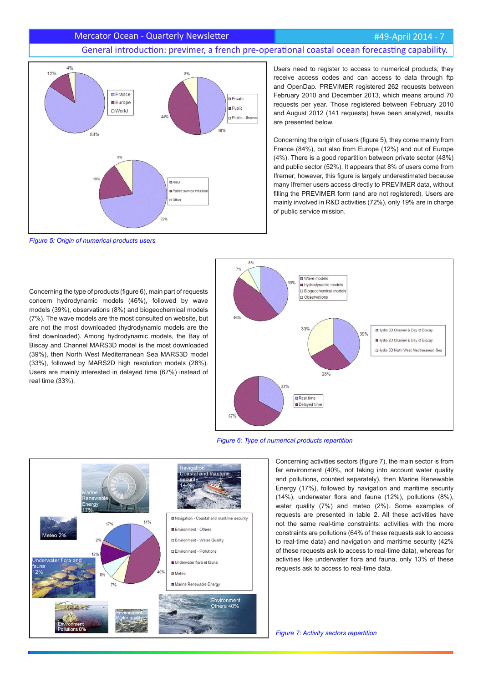#### #49-April 2014 - 7

#### Mercator Ocean - Quarterly Newsletter

# General introduction: previmer, a french pre-operational coastal ocean forecasting capability.



*Figure 5: Origin of numerical products users*

Users need to register to access to numerical products; they receive access codes and can access to data through ftp and OpenDap. PREVIMER registered 262 requests between February 2010 and December 2013, which means around 70 requests per year. Those registered between February 2010 and August 2012 (141 requests) have been analyzed, results are presented below.

Concerning the origin of users (figure 5), they come mainly from France (84%), but also from Europe (12%) and out of Europe (4%). There is a good repartition between private sector (48%) and public sector (52%). It appears that 8% of users come from Ifremer; however, this figure is largely underestimated because many Ifremer users access directly to PREVIMER data, without filling the PREVIMER form (and are not registered). Users are mainly involved in R&D activities (72%), only 19% are in charge of public service mission.

Concerning the type of products (figure 6), main part of requests concern hydrodynamic models (46%), followed by wave models (39%), observations (8%) and biogeochemical models (7%). The wave models are the most consulted on website, but are not the most downloaded (hydrodynamic models are the first downloaded). Among hydrodynamic models, the Bay of Biscay and Channel MARS3D model is the most downloaded (39%), then North West Mediterranean Sea MARS3D model (33%), followed by MARS2D high resolution models (28%). Users are mainly interested in delayed time (67%) instead of real time (33%).



*Figure 6: Type of numerical products repartition*



Concerning activities sectors (figure 7), the main sector is from far environment (40%, not taking into account water quality and pollutions, counted separately), then Marine Renewable Energy (17%), followed by navigation and maritime security (14%), underwater flora and fauna (12%), pollutions (8%), water quality (7%) and meteo (2%). Some examples of requests are presented in table 2. All these activities have not the same real-time constraints: activities with the more constraints are pollutions (64% of these requests ask to access to real-time data) and navigation and maritime security (42% of these requests ask to access to real-time data), whereas for activities like underwater flora and fauna, only 13% of these requests ask to access to real-time data.

*Figure 7: Activity sectors repartition*